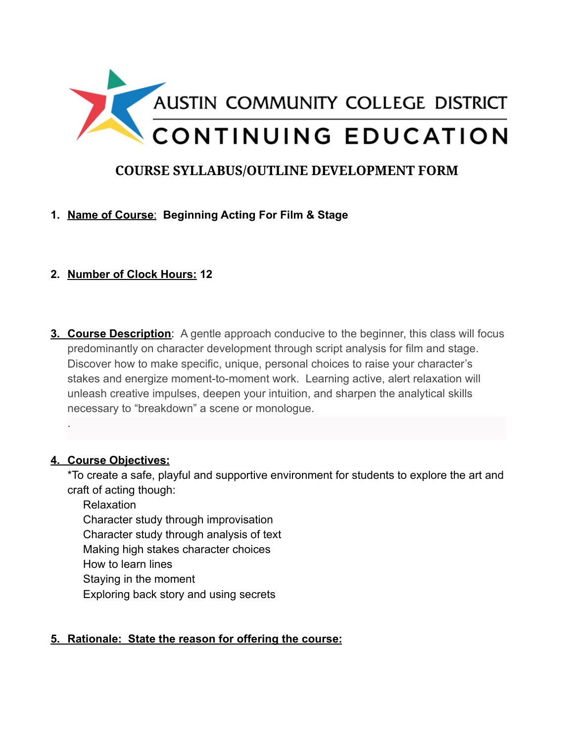

# **COURSE SYLLABUS/OUTLINE DEVELOPMENT FORM**

## **1. Name of Course**: **Beginning Acting For Film & Stage**

## **2. Number of Clock Hours: 12**

**3. Course Description**: A gentle approach conducive to the beginner, this class will focus predominantly on character development through script analysis for film and stage. Discover how to make specific, unique, personal choices to raise your character's stakes and energize moment-to-moment work. Learning active, alert relaxation will unleash creative impulses, deepen your intuition, and sharpen the analytical skills necessary to "breakdown" a scene or monologue.

#### **4. Course Objectives:**

.

\*To create a safe, playful and supportive environment for students to explore the art and craft of acting though:

Relaxation

Character study through improvisation

Character study through analysis of text

Making high stakes character choices

How to learn lines

Staying in the moment

Exploring back story and using secrets

### **5. Rationale: State the reason for offering the course:**